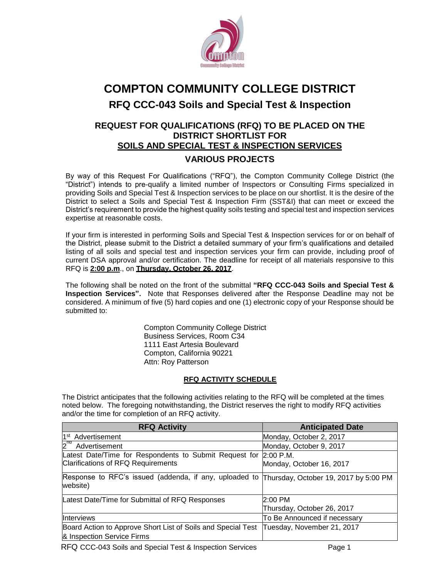

# **COMPTON COMMUNITY COLLEGE DISTRICT RFQ CCC-043 Soils and Special Test & Inspection**

## **REQUEST FOR QUALIFICATIONS (RFQ) TO BE PLACED ON THE DISTRICT SHORTLIST FOR SOILS AND SPECIAL TEST & INSPECTION SERVICES VARIOUS PROJECTS**

By way of this Request For Qualifications ("RFQ"), the Compton Community College District (the "District") intends to pre-qualify a limited number of Inspectors or Consulting Firms specialized in providing Soils and Special Test & Inspection services to be place on our shortlist. It is the desire of the District to select a Soils and Special Test & Inspection Firm (SST&I) that can meet or exceed the District's requirement to provide the highest quality soils testing and special test and inspection services expertise at reasonable costs.

If your firm is interested in performing Soils and Special Test & Inspection services for or on behalf of the District, please submit to the District a detailed summary of your firm's qualifications and detailed listing of all soils and special test and inspection services your firm can provide, including proof of current DSA approval and/or certification. The deadline for receipt of all materials responsive to this RFQ is **2:00 p.m**., on **Thursday, October 26, 2017**.

The following shall be noted on the front of the submittal **"RFQ CCC-043 Soils and Special Test & Inspection Services".** Note that Responses delivered after the Response Deadline may not be considered. A minimum of five (5) hard copies and one (1) electronic copy of your Response should be submitted to:

## **RFQ ACTIVITY SCHEDULE**

| <b>Compton Community College District</b><br><b>Business Services, Room C34</b><br>1111 East Artesia Boulevard                                                                                                                                                          |                                       |
|-------------------------------------------------------------------------------------------------------------------------------------------------------------------------------------------------------------------------------------------------------------------------|---------------------------------------|
| Compton, California 90221<br>Attn: Roy Patterson                                                                                                                                                                                                                        |                                       |
|                                                                                                                                                                                                                                                                         |                                       |
| <b>RFQ ACTIVITY SCHEDULE</b>                                                                                                                                                                                                                                            |                                       |
| The District anticipates that the following activities relating to the RFQ will be completed at the times<br>noted below. The foregoing notwithstanding, the District reserves the right to modify RFQ activities<br>and/or the time for completion of an RFQ activity. |                                       |
| <b>RFQ Activity</b>                                                                                                                                                                                                                                                     | <b>Anticipated Date</b>               |
| 1 <sup>st</sup> Advertisement                                                                                                                                                                                                                                           | Monday, October 2, 2017               |
| Advertisement                                                                                                                                                                                                                                                           | Monday, October 9, 2017               |
| Latest Date/Time for Respondents to Submit Request for                                                                                                                                                                                                                  | $2:00$ P.M.                           |
| <b>Clarifications of RFQ Requirements</b>                                                                                                                                                                                                                               | Monday, October 16, 2017              |
| Response to RFC's issued (addenda, if any, uploaded to<br>website)                                                                                                                                                                                                      | Thursday, October 19, 2017 by 5:00 PM |
| Latest Date/Time for Submittal of RFQ Responses                                                                                                                                                                                                                         | 2:00 PM                               |
|                                                                                                                                                                                                                                                                         | Thursday, October 26, 2017            |
| Interviews                                                                                                                                                                                                                                                              | To Be Announced if necessary          |
| Board Action to Approve Short List of Soils and Special Test                                                                                                                                                                                                            | Tuesday, November 21, 2017            |
| & Inspection Service Firms                                                                                                                                                                                                                                              |                                       |

RFQ CCC-043 Soils and Special Test & Inspection Services Page 1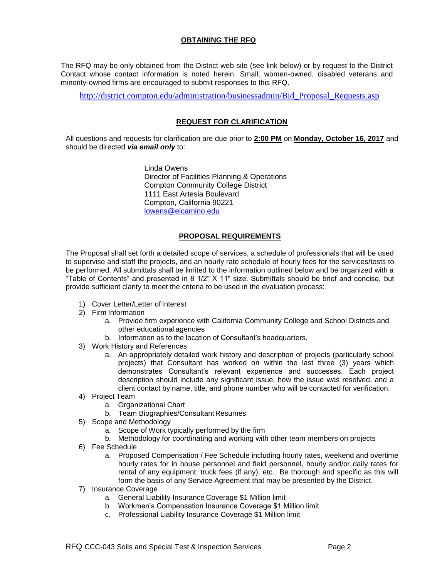## **OBTAINING THE RFQ**

The RFQ may be only obtained from the District web site (see link below) or by request to the District Contact whose contact information is noted herein. Small, women-owned, disabled veterans and minority-owned firms are encouraged to submit responses to this RFQ.

[http://district.compton.edu/administration/businessadmin/Bid\\_Proposal\\_Requests.asp](http://district.compton.edu/administration/businessadmin/Bid_Proposal_Requests.asp)

#### **REQUEST FOR CLARIFICATION**

All questions and requests for clarification are due prior to **2:00 PM** on **Monday, October 16, 2017** and should be directed *via email only* to:

> Linda Owens Director of Facilities Planning & Operations Compton Community College District 1111 East Artesia Boulevard Compton, California 90221 lowens@elcamino.edu

#### **PROPOSAL REQUIREMENTS**

The Proposal shall set forth a detailed scope of services, a schedule of professionals that will be used to supervise and staff the projects, and an hourly rate schedule of hourly fees for the services/tests to be performed. All submittals shall be limited to the information outlined below and be organized with a "Table of Contents" and presented in 8 1/2" X 11" size. Submittals should be brief and concise, but provide sufficient clarity to meet the criteria to be used in the evaluation process:

- 1) Cover Letter/Letter of Interest
- 2) Firm Information
	- a. Provide firm experience with California Community College and School Districts and other educational agencies
	- b. Information as to the location of Consultant's headquarters.
- 3) Work History and References
	- a. An appropriately detailed work history and description of projects (particularly school projects) that Consultant has worked on within the last three (3) years which demonstrates Consultant's relevant experience and successes. Each project description should include any significant issue, how the issue was resolved, and a client contact by name, title, and phone number who will be contacted for verification.
- 4) Project Team
	- a. Organizational Chart
	- b. Team Biographies/Consultant Resumes
- 5) Scope and Methodology
	- a. Scope of Work typically performed by the firm
	- b. Methodology for coordinating and working with other team members on projects
- 6) Fee Schedule
	- a. Proposed Compensation / Fee Schedule including hourly rates, weekend and overtime hourly rates for in house personnel and field personnel, hourly and/or daily rates for rental of any equipment, truck fees (if any), etc. Be thorough and specific as this will form the basis of any Service Agreement that may be presented by the District.
- 7) Insurance Coverage
	- a. General Liability Insurance Coverage \$1 Million limit
	- b. Workmen's Compensation Insurance Coverage \$1 Million limit
	- c. Professional Liability Insurance Coverage \$1 Million limit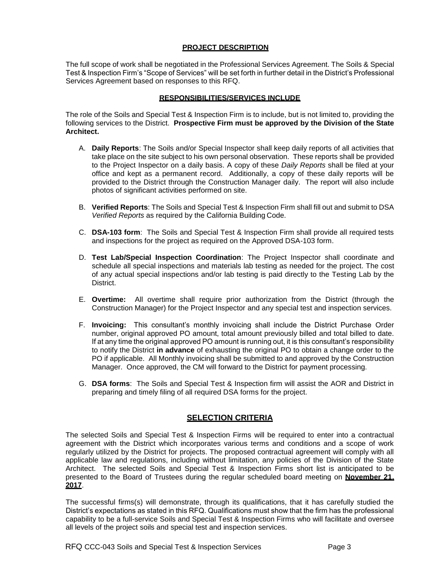#### **PROJECT DESCRIPTION**

The full scope of work shall be negotiated in the Professional Services Agreement. The Soils & Special Test & Inspection Firm's "Scope of Services" will be set forth in further detail in the District's Professional Services Agreement based on responses to this RFQ.

### **RESPONSIBILITIES/SERVICES INCLUDE**

The role of the Soils and Special Test & Inspection Firm is to include, but is not limited to, providing the following services to the District. **Prospective Firm must be approved by the Division of the State Architect.**

- A. **Daily Reports**: The Soils and/or Special Inspector shall keep daily reports of all activities that take place on the site subject to his own personal observation. These reports shall be provided to the Project Inspector on a daily basis. A copy of these *Daily Reports* shall be filed at your office and kept as a permanent record. Additionally, a copy of these daily reports will be provided to the District through the Construction Manager daily. The report will also include photos of significant activities performed on site.
- B. **Verified Reports**: The Soils and Special Test & Inspection Firm shall fill out and submit to DSA *Verified Reports* as required by the California Building Code.
- C. **DSA-103 form**: The Soils and Special Test & Inspection Firm shall provide all required tests and inspections for the project as required on the Approved DSA-103 form.
- D. **Test Lab/Special Inspection Coordination**: The Project Inspector shall coordinate and schedule all special inspections and materials lab testing as needed for the project. The cost of any actual special inspections and/or lab testing is paid directly to the Testing Lab by the District.
- E. **Overtime:** All overtime shall require prior authorization from the District (through the Construction Manager) for the Project Inspector and any special test and inspection services.
- F. **Invoicing:** This consultant's monthly invoicing shall include the District Purchase Order number, original approved PO amount, total amount previously billed and total billed to date. If at any time the original approved PO amount is running out, it is this consultant's responsibility to notify the District **in advance** of exhausting the original PO to obtain a change order to the PO if applicable. All Monthly invoicing shall be submitted to and approved by the Construction Manager. Once approved, the CM will forward to the District for payment processing.
- G. **DSA forms**: The Soils and Special Test & Inspection firm will assist the AOR and District in preparing and timely filing of all required DSA forms for the project.

## **SELECTION CRITERIA**

The selected Soils and Special Test & Inspection Firms will be required to enter into a contractual agreement with the District which incorporates various terms and conditions and a scope of work regularly utilized by the District for projects. The proposed contractual agreement will comply with all applicable law and regulations, including without limitation, any policies of the Division of the State Architect. The selected Soils and Special Test & Inspection Firms short list is anticipated to be presented to the Board of Trustees during the regular scheduled board meeting on **November 21, 2017**.

The successful firms(s) will demonstrate, through its qualifications, that it has carefully studied the District's expectations as stated in this RFQ. Qualifications must show that the firm has the professional capability to be a full-service Soils and Special Test & Inspection Firms who will facilitate and oversee all levels of the project soils and special test and inspection services.